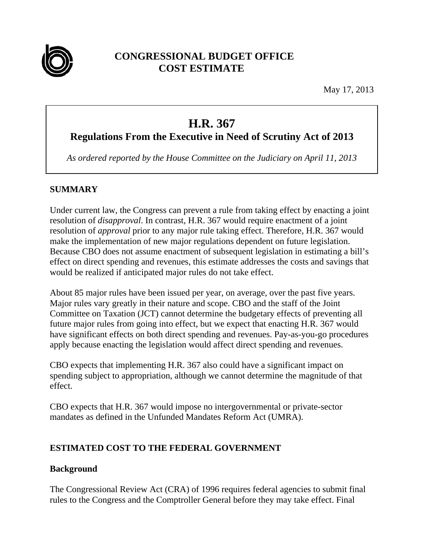

# **CONGRESSIONAL BUDGET OFFICE COST ESTIMATE**

May 17, 2013

# **H.R. 367**

# **Regulations From the Executive in Need of Scrutiny Act of 2013**

*As ordered reported by the House Committee on the Judiciary on April 11, 2013* 

# **SUMMARY**

Under current law, the Congress can prevent a rule from taking effect by enacting a joint resolution of *disapproval*. In contrast, H.R. 367 would require enactment of a joint resolution of *approval* prior to any major rule taking effect. Therefore, H.R. 367 would make the implementation of new major regulations dependent on future legislation. Because CBO does not assume enactment of subsequent legislation in estimating a bill's effect on direct spending and revenues, this estimate addresses the costs and savings that would be realized if anticipated major rules do not take effect.

About 85 major rules have been issued per year, on average, over the past five years. Major rules vary greatly in their nature and scope. CBO and the staff of the Joint Committee on Taxation (JCT) cannot determine the budgetary effects of preventing all future major rules from going into effect, but we expect that enacting H.R. 367 would have significant effects on both direct spending and revenues. Pay-as-you-go procedures apply because enacting the legislation would affect direct spending and revenues.

CBO expects that implementing H.R. 367 also could have a significant impact on spending subject to appropriation, although we cannot determine the magnitude of that effect.

CBO expects that H.R. 367 would impose no intergovernmental or private-sector mandates as defined in the Unfunded Mandates Reform Act (UMRA).

# **ESTIMATED COST TO THE FEDERAL GOVERNMENT**

# **Background**

The Congressional Review Act (CRA) of 1996 requires federal agencies to submit final rules to the Congress and the Comptroller General before they may take effect. Final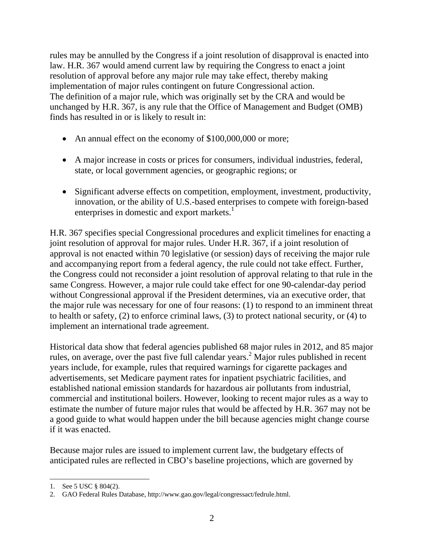rules may be annulled by the Congress if a joint resolution of disapproval is enacted into law. H.R. 367 would amend current law by requiring the Congress to enact a joint resolution of approval before any major rule may take effect, thereby making implementation of major rules contingent on future Congressional action. The definition of a major rule, which was originally set by the CRA and would be unchanged by H.R. 367, is any rule that the Office of Management and Budget (OMB) finds has resulted in or is likely to result in:

- An annual effect on the economy of \$100,000,000 or more;
- A major increase in costs or prices for consumers, individual industries, federal, state, or local government agencies, or geographic regions; or
- Significant adverse effects on competition, employment, investment, productivity, innovation, or the ability of U.S.-based enterprises to compete with foreign-based enterprises in domestic and export markets.<sup>1</sup>

H.R. 367 specifies special Congressional procedures and explicit timelines for enacting a joint resolution of approval for major rules. Under H.R. 367, if a joint resolution of approval is not enacted within 70 legislative (or session) days of receiving the major rule and accompanying report from a federal agency, the rule could not take effect. Further, the Congress could not reconsider a joint resolution of approval relating to that rule in the same Congress. However, a major rule could take effect for one 90-calendar-day period without Congressional approval if the President determines, via an executive order, that the major rule was necessary for one of four reasons: (1) to respond to an imminent threat to health or safety, (2) to enforce criminal laws, (3) to protect national security, or (4) to implement an international trade agreement.

Historical data show that federal agencies published 68 major rules in 2012, and 85 major rules, on average, over the past five full calendar years.<sup>2</sup> Major rules published in recent years include, for example, rules that required warnings for cigarette packages and advertisements, set Medicare payment rates for inpatient psychiatric facilities, and established national emission standards for hazardous air pollutants from industrial, commercial and institutional boilers. However, looking to recent major rules as a way to estimate the number of future major rules that would be affected by H.R. 367 may not be a good guide to what would happen under the bill because agencies might change course if it was enacted.

Because major rules are issued to implement current law, the budgetary effects of anticipated rules are reflected in CBO's baseline projections, which are governed by

 $\overline{\phantom{a}}$ 1. See 5 USC § 804(2).

<sup>2.</sup> GAO Federal Rules Database, http://www.gao.gov/legal/congressact/fedrule.html.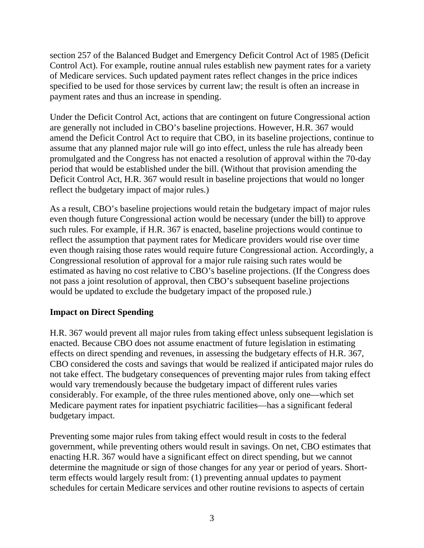section 257 of the Balanced Budget and Emergency Deficit Control Act of 1985 (Deficit Control Act). For example, routine annual rules establish new payment rates for a variety of Medicare services. Such updated payment rates reflect changes in the price indices specified to be used for those services by current law; the result is often an increase in payment rates and thus an increase in spending.

Under the Deficit Control Act, actions that are contingent on future Congressional action are generally not included in CBO's baseline projections. However, H.R. 367 would amend the Deficit Control Act to require that CBO, in its baseline projections, continue to assume that any planned major rule will go into effect, unless the rule has already been promulgated and the Congress has not enacted a resolution of approval within the 70-day period that would be established under the bill. (Without that provision amending the Deficit Control Act, H.R. 367 would result in baseline projections that would no longer reflect the budgetary impact of major rules.)

As a result, CBO's baseline projections would retain the budgetary impact of major rules even though future Congressional action would be necessary (under the bill) to approve such rules. For example, if H.R. 367 is enacted, baseline projections would continue to reflect the assumption that payment rates for Medicare providers would rise over time even though raising those rates would require future Congressional action. Accordingly, a Congressional resolution of approval for a major rule raising such rates would be estimated as having no cost relative to CBO's baseline projections. (If the Congress does not pass a joint resolution of approval, then CBO's subsequent baseline projections would be updated to exclude the budgetary impact of the proposed rule.)

# **Impact on Direct Spending**

H.R. 367 would prevent all major rules from taking effect unless subsequent legislation is enacted. Because CBO does not assume enactment of future legislation in estimating effects on direct spending and revenues, in assessing the budgetary effects of H.R. 367, CBO considered the costs and savings that would be realized if anticipated major rules do not take effect. The budgetary consequences of preventing major rules from taking effect would vary tremendously because the budgetary impact of different rules varies considerably. For example, of the three rules mentioned above, only one—which set Medicare payment rates for inpatient psychiatric facilities—has a significant federal budgetary impact.

Preventing some major rules from taking effect would result in costs to the federal government, while preventing others would result in savings. On net, CBO estimates that enacting H.R. 367 would have a significant effect on direct spending, but we cannot determine the magnitude or sign of those changes for any year or period of years. Shortterm effects would largely result from: (1) preventing annual updates to payment schedules for certain Medicare services and other routine revisions to aspects of certain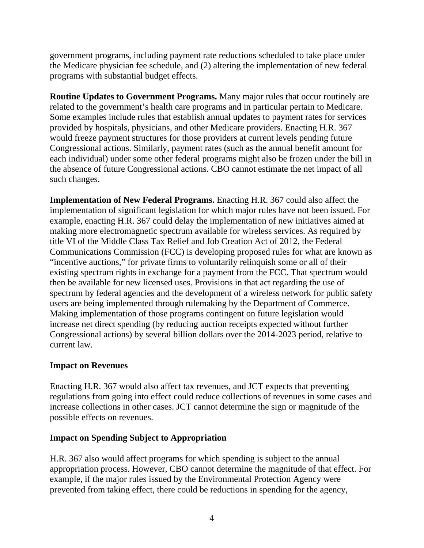government programs, including payment rate reductions scheduled to take place under the Medicare physician fee schedule, and (2) altering the implementation of new federal programs with substantial budget effects.

**Routine Updates to Government Programs.** Many major rules that occur routinely are related to the government's health care programs and in particular pertain to Medicare. Some examples include rules that establish annual updates to payment rates for services provided by hospitals, physicians, and other Medicare providers. Enacting H.R. 367 would freeze payment structures for those providers at current levels pending future Congressional actions. Similarly, payment rates (such as the annual benefit amount for each individual) under some other federal programs might also be frozen under the bill in the absence of future Congressional actions. CBO cannot estimate the net impact of all such changes.

**Implementation of New Federal Programs.** Enacting H.R. 367 could also affect the implementation of significant legislation for which major rules have not been issued. For example, enacting H.R. 367 could delay the implementation of new initiatives aimed at making more electromagnetic spectrum available for wireless services. As required by title VI of the Middle Class Tax Relief and Job Creation Act of 2012, the Federal Communications Commission (FCC) is developing proposed rules for what are known as "incentive auctions," for private firms to voluntarily relinquish some or all of their existing spectrum rights in exchange for a payment from the FCC. That spectrum would then be available for new licensed uses. Provisions in that act regarding the use of spectrum by federal agencies and the development of a wireless network for public safety users are being implemented through rulemaking by the Department of Commerce. Making implementation of those programs contingent on future legislation would increase net direct spending (by reducing auction receipts expected without further Congressional actions) by several billion dollars over the 2014-2023 period, relative to current law.

#### **Impact on Revenues**

Enacting H.R. 367 would also affect tax revenues, and JCT expects that preventing regulations from going into effect could reduce collections of revenues in some cases and increase collections in other cases. JCT cannot determine the sign or magnitude of the possible effects on revenues.

#### **Impact on Spending Subject to Appropriation**

H.R. 367 also would affect programs for which spending is subject to the annual appropriation process. However, CBO cannot determine the magnitude of that effect. For example, if the major rules issued by the Environmental Protection Agency were prevented from taking effect, there could be reductions in spending for the agency,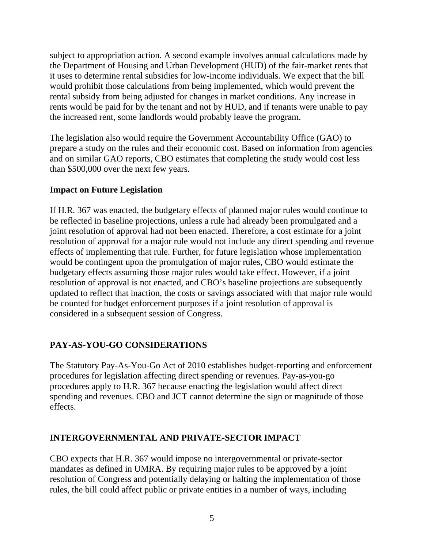subject to appropriation action. A second example involves annual calculations made by the Department of Housing and Urban Development (HUD) of the fair-market rents that it uses to determine rental subsidies for low-income individuals. We expect that the bill would prohibit those calculations from being implemented, which would prevent the rental subsidy from being adjusted for changes in market conditions. Any increase in rents would be paid for by the tenant and not by HUD, and if tenants were unable to pay the increased rent, some landlords would probably leave the program.

The legislation also would require the Government Accountability Office (GAO) to prepare a study on the rules and their economic cost. Based on information from agencies and on similar GAO reports, CBO estimates that completing the study would cost less than \$500,000 over the next few years.

# **Impact on Future Legislation**

If H.R. 367 was enacted, the budgetary effects of planned major rules would continue to be reflected in baseline projections, unless a rule had already been promulgated and a joint resolution of approval had not been enacted. Therefore, a cost estimate for a joint resolution of approval for a major rule would not include any direct spending and revenue effects of implementing that rule. Further, for future legislation whose implementation would be contingent upon the promulgation of major rules, CBO would estimate the budgetary effects assuming those major rules would take effect. However, if a joint resolution of approval is not enacted, and CBO's baseline projections are subsequently updated to reflect that inaction, the costs or savings associated with that major rule would be counted for budget enforcement purposes if a joint resolution of approval is considered in a subsequent session of Congress.

# **PAY-AS-YOU-GO CONSIDERATIONS**

The Statutory Pay-As-You-Go Act of 2010 establishes budget-reporting and enforcement procedures for legislation affecting direct spending or revenues. Pay-as-you-go procedures apply to H.R. 367 because enacting the legislation would affect direct spending and revenues. CBO and JCT cannot determine the sign or magnitude of those effects.

#### **INTERGOVERNMENTAL AND PRIVATE-SECTOR IMPACT**

CBO expects that H.R. 367 would impose no intergovernmental or private-sector mandates as defined in UMRA. By requiring major rules to be approved by a joint resolution of Congress and potentially delaying or halting the implementation of those rules, the bill could affect public or private entities in a number of ways, including